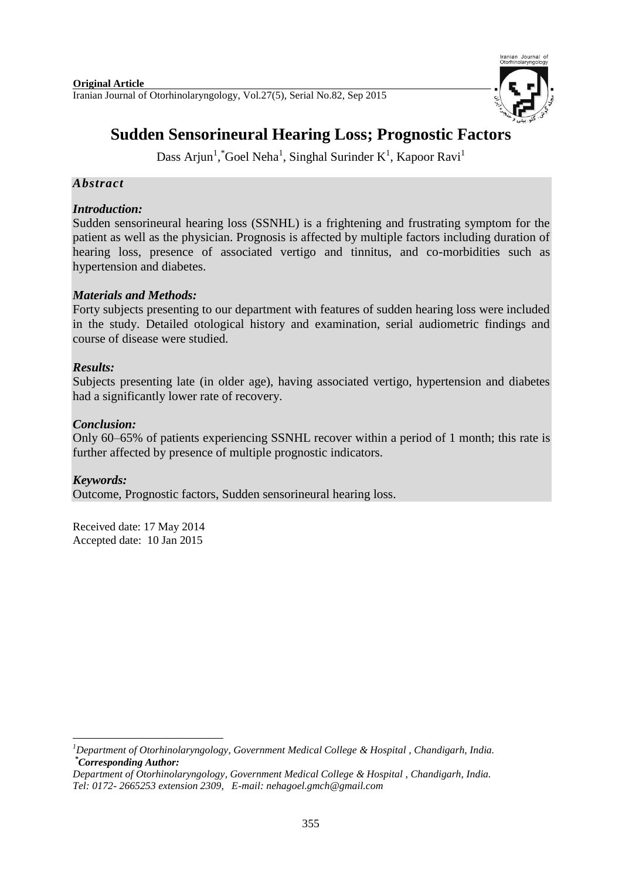

# **Sudden Sensorineural Hearing Loss; Prognostic Factors**

Dass Arjun<sup>1</sup>, "Goel Neha<sup>1</sup>, Singhal Surinder K<sup>1</sup>, Kapoor Ravi<sup>1</sup>

# *Abstract*

# *Introduction:*

Sudden sensorineural hearing loss (SSNHL) is a frightening and frustrating symptom for the patient as well as the physician. Prognosis is affected by multiple factors including duration of hearing loss, presence of associated vertigo and tinnitus, and co-morbidities such as hypertension and diabetes.

# *Materials and Methods:*

Forty subjects presenting to our department with features of sudden hearing loss were included in the study. Detailed otological history and examination, serial audiometric findings and course of disease were studied.

# *Results:*

Subjects presenting late (in older age), having associated vertigo, hypertension and diabetes had a significantly lower rate of recovery.

# *Conclusion:*

Only 60–65% of patients experiencing SSNHL recover within a period of 1 month; this rate is further affected by presence of multiple prognostic indicators.

## *Keywords:*

Outcome, Prognostic factors, Sudden sensorineural hearing loss.

Received date: 17 May 2014 Accepted date: 10 Jan 2015

**.** *<sup>1</sup>Department of Otorhinolaryngology, Government Medical College & Hospital , Chandigarh, India. \*Corresponding Author:*

*Department of Otorhinolaryngology, Government Medical College & Hospital , Chandigarh, India. Tel: 0172- 2665253 extension 2309, E-mail: nehagoel.gmch@gmail.com*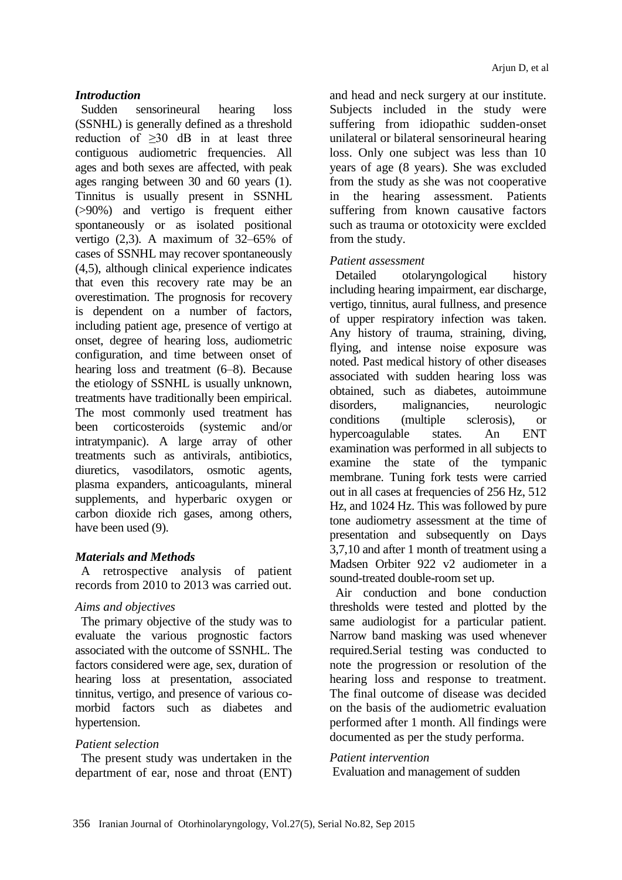## *Introduction*

Sudden sensorineural hearing loss (SSNHL) is generally defined as a threshold reduction of  $\geq 30$  dB in at least three contiguous audiometric frequencies. All ages and both sexes are affected, with peak ages ranging between 30 and 60 years (1). Tinnitus is usually present in SSNHL (>90%) and vertigo is frequent either spontaneously or as isolated positional vertigo (2,3). A maximum of 32–65% of cases of SSNHL may recover spontaneously (4,5), although clinical experience indicates that even this recovery rate may be an overestimation. The prognosis for recovery is dependent on a number of factors, including patient age, presence of vertigo at onset, degree of hearing loss, audiometric configuration, and time between onset of hearing loss and treatment (6–8). Because the etiology of SSNHL is usually unknown, treatments have traditionally been empirical. The most commonly used treatment has been corticosteroids (systemic and/or intratympanic). A large array of other treatments such as antivirals, antibiotics, diuretics, vasodilators, osmotic agents, plasma expanders, anticoagulants, mineral supplements, and hyperbaric oxygen or carbon dioxide rich gases, among others, have been used (9).

# *Materials and Methods*

A retrospective analysis of patient records from 2010 to 2013 was carried out.

## *Aims and objectives*

The primary objective of the study was to evaluate the various prognostic factors associated with the outcome of SSNHL. The factors considered were age, sex, duration of hearing loss at presentation, associated tinnitus, vertigo, and presence of various comorbid factors such as diabetes and hypertension.

# *Patient selection*

The present study was undertaken in the department of ear, nose and throat (ENT) and head and neck surgery at our institute. Subjects included in the study were suffering from idiopathic sudden-onset unilateral or bilateral sensorineural hearing loss. Only one subject was less than 10 years of age (8 years). She was excluded from the study as she was not cooperative in the hearing assessment. Patients suffering from known causative factors such as trauma or ototoxicity were exclded from the study.

# *Patient assessment*

Detailed otolaryngological history including hearing impairment, ear discharge, vertigo, tinnitus, aural fullness, and presence of upper respiratory infection was taken. Any history of trauma, straining, diving, flying, and intense noise exposure was noted. Past medical history of other diseases associated with sudden hearing loss was obtained, such as diabetes, autoimmune disorders, malignancies, neurologic conditions (multiple sclerosis), or hypercoagulable states. An ENT examination was performed in all subjects to examine the state of the tympanic membrane. Tuning fork tests were carried out in all cases at frequencies of 256 Hz, 512 Hz, and 1024 Hz. This was followed by pure tone audiometry assessment at the time of presentation and subsequently on Days 3,7,10 and after 1 month of treatment using a Madsen Orbiter 922 v2 audiometer in a sound-treated double-room set up.

Air conduction and bone conduction thresholds were tested and plotted by the same audiologist for a particular patient. Narrow band masking was used whenever required.Serial testing was conducted to note the progression or resolution of the hearing loss and response to treatment. The final outcome of disease was decided on the basis of the audiometric evaluation performed after 1 month. All findings were documented as per the study performa.

## *Patient intervention*

Evaluation and management of sudden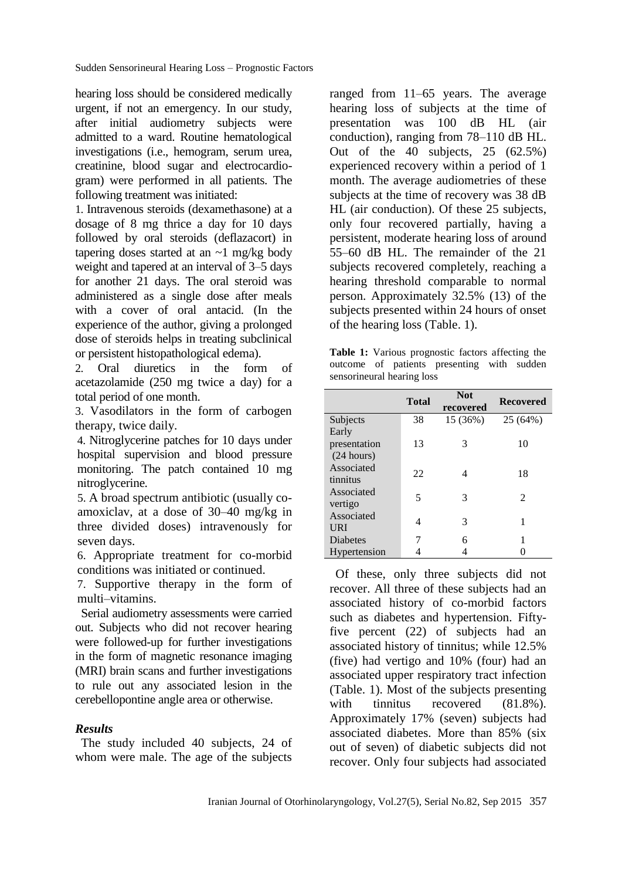hearing loss should be considered medically urgent, if not an emergency. In our study, after initial audiometry subjects were admitted to a ward. Routine hematological investigations (i.e., hemogram, serum urea, creatinine, blood sugar and electrocardiogram) were performed in all patients. The following treatment was initiated:

1. Intravenous steroids (dexamethasone) at a dosage of 8 mg thrice a day for 10 days followed by oral steroids (deflazacort) in tapering doses started at an  $\sim$ 1 mg/kg body weight and tapered at an interval of 3–5 days for another 21 days. The oral steroid was administered as a single dose after meals with a cover of oral antacid. (In the experience of the author, giving a prolonged dose of steroids helps in treating subclinical or persistent histopathological edema).

2. Oral diuretics in the form of acetazolamide (250 mg twice a day) for a total period of one month.

3. Vasodilators in the form of carbogen therapy, twice daily.

4. Nitroglycerine patches for 10 days under hospital supervision and blood pressure monitoring. The patch contained 10 mg nitroglycerine.

5. A broad spectrum antibiotic (usually coamoxiclav, at a dose of 30–40 mg/kg in three divided doses) intravenously for seven days.

6. Appropriate treatment for co-morbid conditions was initiated or continued.

7. Supportive therapy in the form of multi–vitamins.

Serial audiometry assessments were carried out. Subjects who did not recover hearing were followed-up for further investigations in the form of magnetic resonance imaging (MRI) brain scans and further investigations to rule out any associated lesion in the cerebellopontine angle area or otherwise.

## *Results*

The study included 40 subjects, 24 of whom were male. The age of the subjects

ranged from 11–65 years. The average hearing loss of subjects at the time of presentation was 100 dB HL (air conduction), ranging from 78–110 dB HL. Out of the 40 subjects, 25 (62.5%) experienced recovery within a period of 1 month. The average audiometries of these subjects at the time of recovery was 38 dB HL (air conduction). Of these 25 subjects, only four recovered partially, having a persistent, moderate hearing loss of around 55–60 dB HL. The remainder of the 21 subjects recovered completely, reaching a hearing threshold comparable to normal person. Approximately 32.5% (13) of the subjects presented within 24 hours of onset of the hearing loss (Table. 1).

**Table 1:** Various prognostic factors affecting the outcome of patients presenting with sudden sensorineural hearing loss

|              | <b>Total</b> | <b>Not</b><br>recovered | <b>Recovered</b> |
|--------------|--------------|-------------------------|------------------|
| Subjects     | 38           | 15 (36%)                | 25 (64%)         |
| Early        |              |                         |                  |
| presentation | 13           | 3                       | 10               |
| (24 hours)   |              |                         |                  |
| Associated   | 22           |                         | 18               |
| tinnitus     |              |                         |                  |
| Associated   | 5            | 3                       | 2                |
| vertigo      |              |                         |                  |
| Associated   | 4            | 3                       |                  |
| <b>URI</b>   |              |                         |                  |
| Diabetes     | 7            | 6                       |                  |
| Hypertension |              |                         |                  |

Of these, only three subjects did not recover. All three of these subjects had an associated history of co-morbid factors such as diabetes and hypertension. Fiftyfive percent (22) of subjects had an associated history of tinnitus; while 12.5% (five) had vertigo and 10% (four) had an associated upper respiratory tract infection (Table. 1). Most of the subjects presenting with tinnitus recovered  $(81.8\%)$ . Approximately 17% (seven) subjects had associated diabetes. More than 85% (six out of seven) of diabetic subjects did not recover. Only four subjects had associated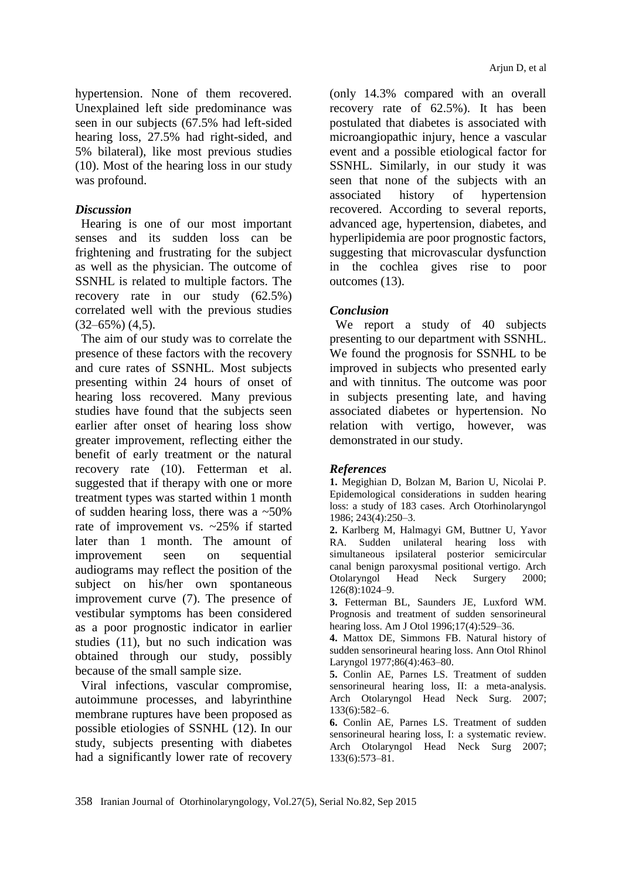hypertension. None of them recovered. Unexplained left side predominance was seen in our subjects (67.5% had left-sided hearing loss, 27.5% had right-sided, and 5% bilateral), like most previous studies (10). Most of the hearing loss in our study was profound.

#### *Discussion*

Hearing is one of our most important senses and its sudden loss can be frightening and frustrating for the subject as well as the physician. The outcome of SSNHL is related to multiple factors. The recovery rate in our study (62.5%) correlated well with the previous studies  $(32-65\%) (4,5)$ .

The aim of our study was to correlate the presence of these factors with the recovery and cure rates of SSNHL. Most subjects presenting within 24 hours of onset of hearing loss recovered. Many previous studies have found that the subjects seen earlier after onset of hearing loss show greater improvement, reflecting either the benefit of early treatment or the natural recovery rate (10). Fetterman et al. suggested that if therapy with one or more treatment types was started within 1 month of sudden hearing loss, there was a  $\approx 50\%$ rate of improvement vs. ~25% if started later than 1 month. The amount of improvement seen on sequential audiograms may reflect the position of the subject on his/her own spontaneous improvement curve (7). The presence of vestibular symptoms has been considered as a poor prognostic indicator in earlier studies (11), but no such indication was obtained through our study, possibly because of the small sample size.

Viral infections, vascular compromise, autoimmune processes, and labyrinthine membrane ruptures have been proposed as possible etiologies of SSNHL (12). In our study, subjects presenting with diabetes had a significantly lower rate of recovery (only 14.3% compared with an overall recovery rate of 62.5%). It has been postulated that diabetes is associated with microangiopathic injury, hence a vascular event and a possible etiological factor for SSNHL. Similarly, in our study it was seen that none of the subjects with an associated history of hypertension recovered. According to several reports, advanced age, hypertension, diabetes, and hyperlipidemia are poor prognostic factors, suggesting that microvascular dysfunction in the cochlea gives rise to poor outcomes (13).

#### *Conclusion*

We report a study of 40 subjects presenting to our department with SSNHL. We found the prognosis for SSNHL to be improved in subjects who presented early and with tinnitus. The outcome was poor in subjects presenting late, and having associated diabetes or hypertension. No relation with vertigo, however, was demonstrated in our study.

#### *References*

**1.** Megighian D, Bolzan M, Barion U, Nicolai P. Epidemological considerations in sudden hearing loss: a study of 183 cases. Arch Otorhinolaryngol 1986; 243(4):250–3.

**2.** Karlberg M, Halmagyi GM, Buttner U, Yavor RA. Sudden unilateral hearing loss with simultaneous ipsilateral posterior semicircular canal benign paroxysmal positional vertigo. Arch Otolaryngol Head Neck Surgery 2000; 126(8):1024–9.

**3.** Fetterman BL, Saunders JE, Luxford WM. Prognosis and treatment of sudden sensorineural hearing loss. Am J Otol 1996;17(4):529–36.

**4.** Mattox DE, Simmons FB. Natural history of sudden sensorineural hearing loss. Ann Otol Rhinol Laryngol 1977;86(4):463–80.

**5.** Conlin AE, Parnes LS. Treatment of sudden sensorineural hearing loss, II: a meta-analysis. Arch Otolaryngol Head Neck Surg. 2007; 133(6):582–6.

**6.** Conlin AE, Parnes LS. Treatment of sudden sensorineural hearing loss, I: a systematic review. Arch Otolaryngol Head Neck Surg 2007; 133(6):573–81.